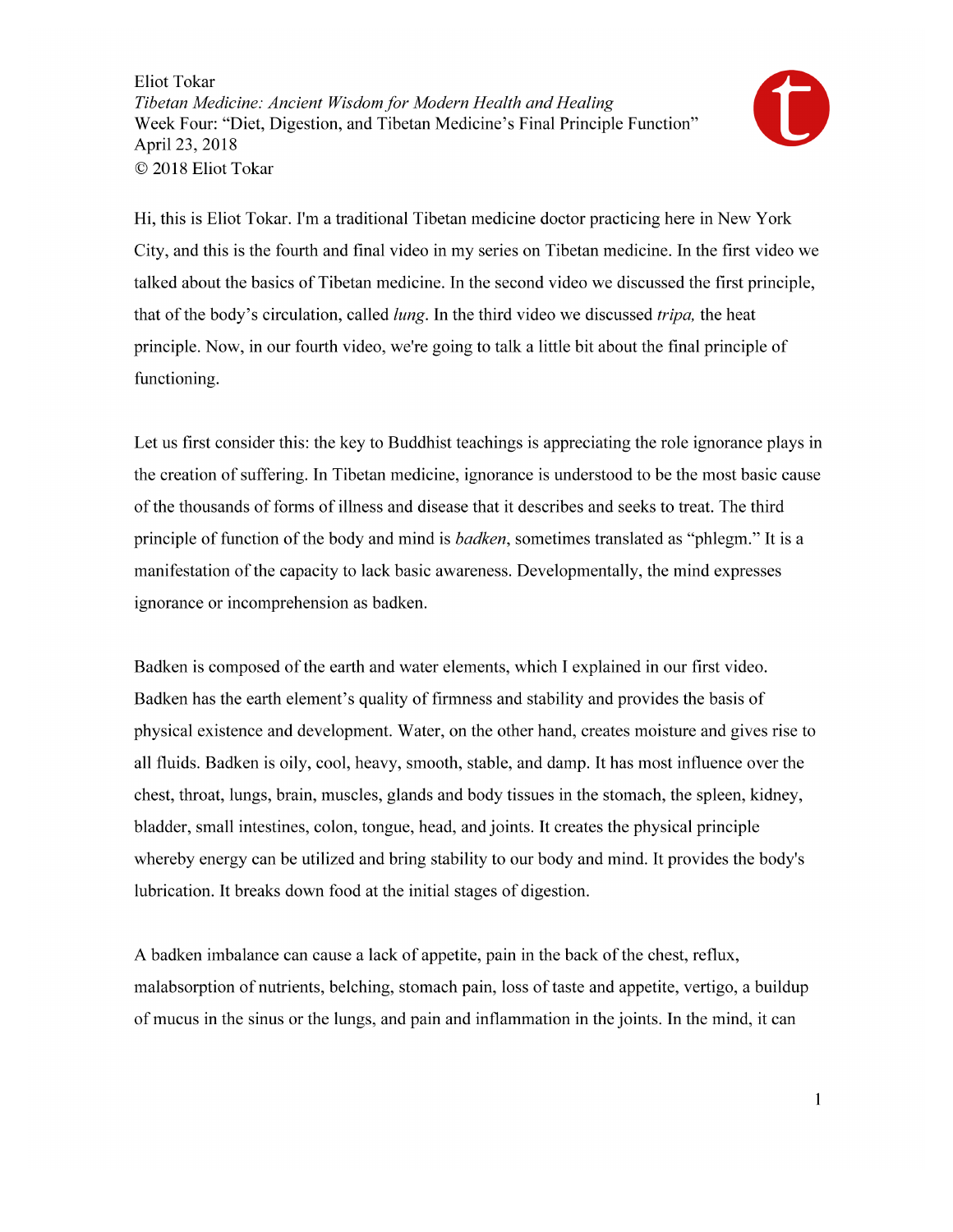

Hi, this is Eliot Tokar. I'm a traditional Tibetan medicine doctor practicing here in New York City, and this is the fourth and final video in my series on Tibetan medicine. In the first video we talked about the basics of Tibetan medicine. In the second video we discussed the first principle, that of the body's circulation, called *lung*. In the third video we discussed *tripa*, the heat principle. Now, in our fourth video, we're going to talk a little bit about the final principle of functioning.

Let us first consider this: the key to Buddhist teachings is appreciating the role ignorance plays in the creation of suffering. In Tibetan medicine, ignorance is understood to be the most basic cause of the thousands of forms of illness and disease that it describes and seeks to treat. The third principle of function of the body and mind is *badken*, sometimes translated as "phlegm." It is a manifestation of the capacity to lack basic awareness. Developmentally, the mind expresses ignorance or incomprehension as badken.

Badken is composed of the earth and water elements, which I explained in our first video. Badken has the earth element's quality of firmness and stability and provides the basis of physical existence and development. Water, on the other hand, creates moisture and gives rise to all fluids. Badken is oily, cool, heavy, smooth, stable, and damp. It has most influence over the chest, throat, lungs, brain, muscles, glands and body tissues in the stomach, the spleen, kidney, bladder, small intestines, colon, tongue, head, and joints. It creates the physical principle whereby energy can be utilized and bring stability to our body and mind. It provides the body's lubrication. It breaks down food at the initial stages of digestion.

A badken imbalance can cause a lack of appetite, pain in the back of the chest, reflux, malabsorption of nutrients, belching, stomach pain, loss of taste and appetite, vertigo, a buildup of mucus in the sinus or the lungs, and pain and inflammation in the joints. In the mind, it can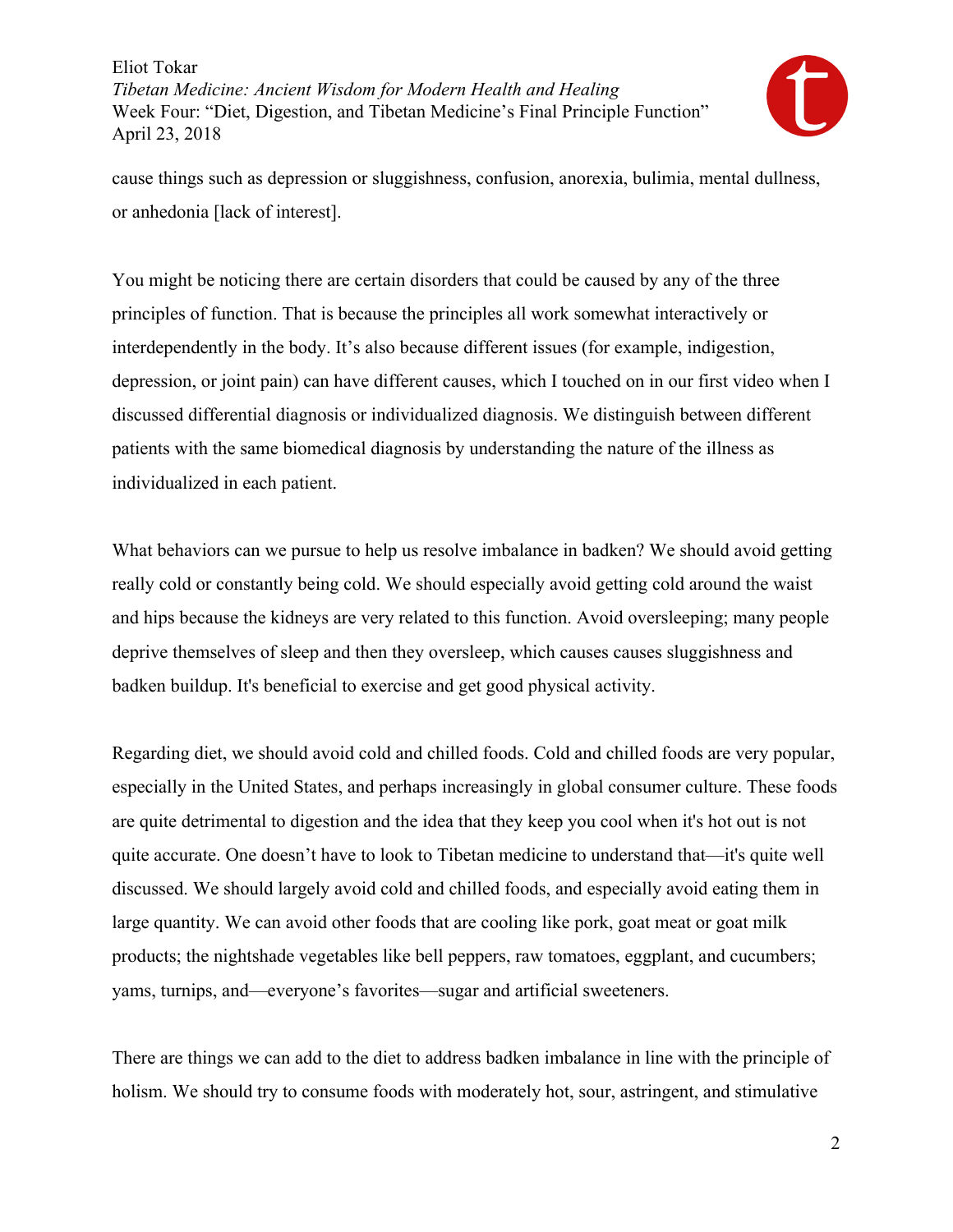

cause things such as depression or sluggishness, confusion, anorexia, bulimia, mental dullness, or anhedonia [lack of interest].

You might be noticing there are certain disorders that could be caused by any of the three principles of function. That is because the principles all work somewhat interactively or interdependently in the body. It's also because different issues (for example, indigestion, depression, or joint pain) can have different causes, which I touched on in our first video when I discussed differential diagnosis or individualized diagnosis. We distinguish between different patients with the same biomedical diagnosis by understanding the nature of the illness as individualized in each patient.

What behaviors can we pursue to help us resolve imbalance in badken? We should avoid getting really cold or constantly being cold. We should especially avoid getting cold around the waist and hips because the kidneys are very related to this function. Avoid oversleeping; many people deprive themselves of sleep and then they oversleep, which causes causes sluggishness and badken buildup. It's beneficial to exercise and get good physical activity.

Regarding diet, we should avoid cold and chilled foods. Cold and chilled foods are very popular, especially in the United States, and perhaps increasingly in global consumer culture. These foods are quite detrimental to digestion and the idea that they keep you cool when it's hot out is not quite accurate. One doesn't have to look to Tibetan medicine to understand that—it's quite well discussed. We should largely avoid cold and chilled foods, and especially avoid eating them in large quantity. We can avoid other foods that are cooling like pork, goat meat or goat milk products; the nightshade vegetables like bell peppers, raw tomatoes, eggplant, and cucumbers; yams, turnips, and—everyone's favorites—sugar and artificial sweeteners.

There are things we can add to the diet to address badken imbalance in line with the principle of holism. We should try to consume foods with moderately hot, sour, astringent, and stimulative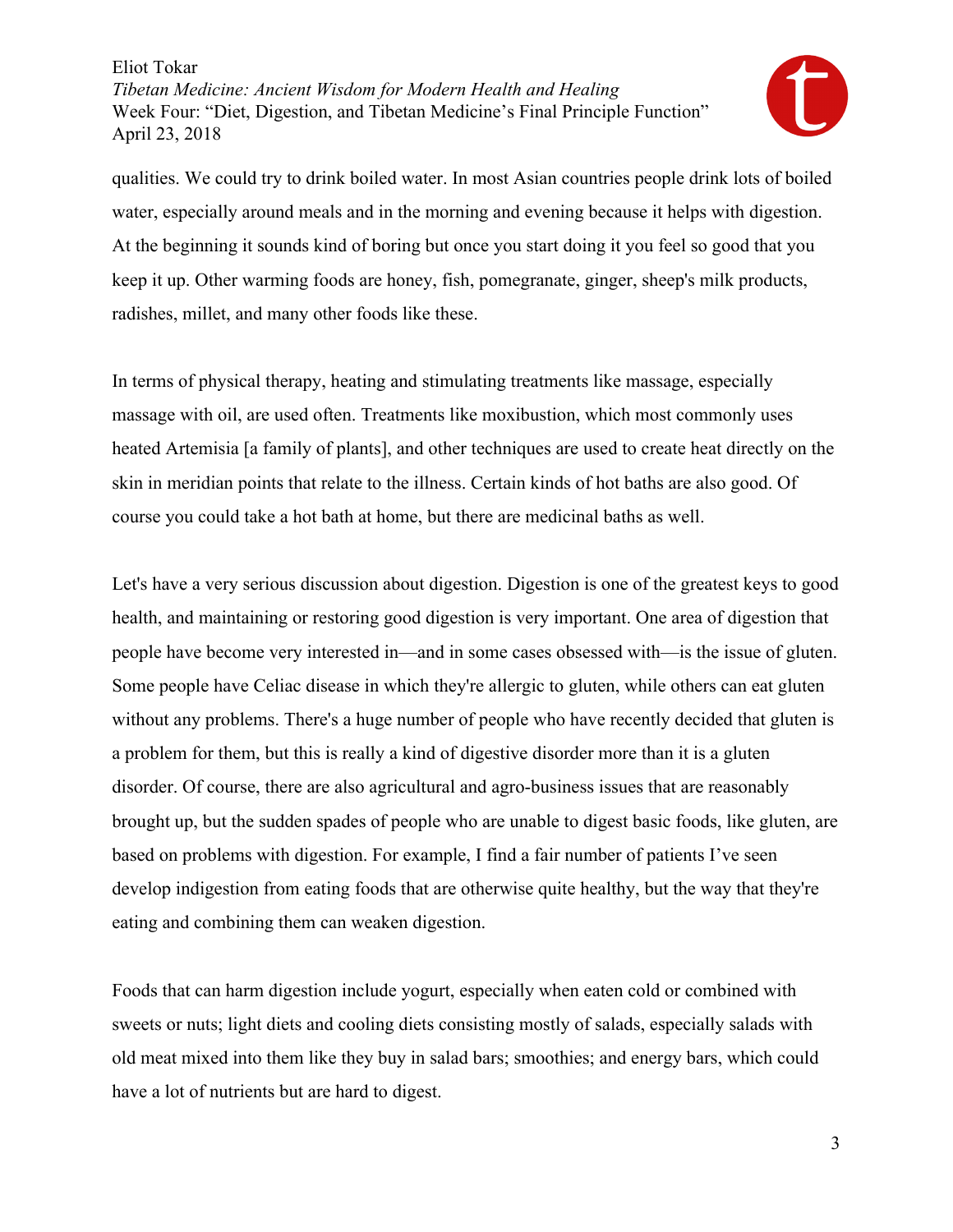

qualities. We could try to drink boiled water. In most Asian countries people drink lots of boiled water, especially around meals and in the morning and evening because it helps with digestion. At the beginning it sounds kind of boring but once you start doing it you feel so good that you keep it up. Other warming foods are honey, fish, pomegranate, ginger, sheep's milk products, radishes, millet, and many other foods like these.

In terms of physical therapy, heating and stimulating treatments like massage, especially massage with oil, are used often. Treatments like moxibustion, which most commonly uses heated Artemisia [a family of plants], and other techniques are used to create heat directly on the skin in meridian points that relate to the illness. Certain kinds of hot baths are also good. Of course you could take a hot bath at home, but there are medicinal baths as well.

Let's have a very serious discussion about digestion. Digestion is one of the greatest keys to good health, and maintaining or restoring good digestion is very important. One area of digestion that people have become very interested in—and in some cases obsessed with—is the issue of gluten. Some people have Celiac disease in which they're allergic to gluten, while others can eat gluten without any problems. There's a huge number of people who have recently decided that gluten is a problem for them, but this is really a kind of digestive disorder more than it is a gluten disorder. Of course, there are also agricultural and agro-business issues that are reasonably brought up, but the sudden spades of people who are unable to digest basic foods, like gluten, are based on problems with digestion. For example, I find a fair number of patients I've seen develop indigestion from eating foods that are otherwise quite healthy, but the way that they're eating and combining them can weaken digestion.

Foods that can harm digestion include yogurt, especially when eaten cold or combined with sweets or nuts; light diets and cooling diets consisting mostly of salads, especially salads with old meat mixed into them like they buy in salad bars; smoothies; and energy bars, which could have a lot of nutrients but are hard to digest.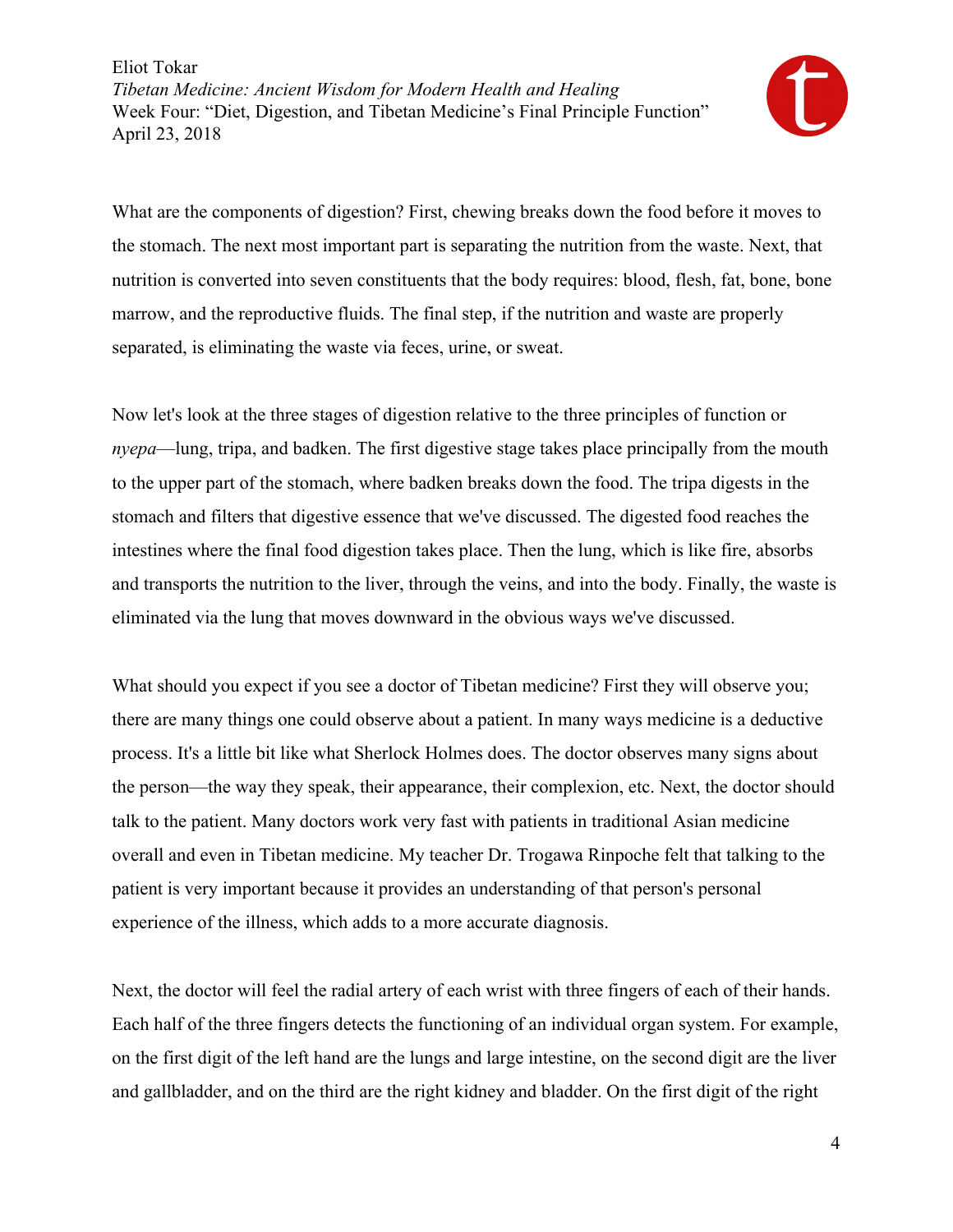

What are the components of digestion? First, chewing breaks down the food before it moves to the stomach. The next most important part is separating the nutrition from the waste. Next, that nutrition is converted into seven constituents that the body requires: blood, flesh, fat, bone, bone marrow, and the reproductive fluids. The final step, if the nutrition and waste are properly separated, is eliminating the waste via feces, urine, or sweat.

Now let's look at the three stages of digestion relative to the three principles of function or *nyepa*—lung, tripa, and badken. The first digestive stage takes place principally from the mouth to the upper part of the stomach, where badken breaks down the food. The tripa digests in the stomach and filters that digestive essence that we've discussed. The digested food reaches the intestines where the final food digestion takes place. Then the lung, which is like fire, absorbs and transports the nutrition to the liver, through the veins, and into the body. Finally, the waste is eliminated via the lung that moves downward in the obvious ways we've discussed.

What should you expect if you see a doctor of Tibetan medicine? First they will observe you; there are many things one could observe about a patient. In many ways medicine is a deductive process. It's a little bit like what Sherlock Holmes does. The doctor observes many signs about the person—the way they speak, their appearance, their complexion, etc. Next, the doctor should talk to the patient. Many doctors work very fast with patients in traditional Asian medicine overall and even in Tibetan medicine. My teacher Dr. Trogawa Rinpoche felt that talking to the patient is very important because it provides an understanding of that person's personal experience of the illness, which adds to a more accurate diagnosis.

Next, the doctor will feel the radial artery of each wrist with three fingers of each of their hands. Each half of the three fingers detects the functioning of an individual organ system. For example, on the first digit of the left hand are the lungs and large intestine, on the second digit are the liver and gallbladder, and on the third are the right kidney and bladder. On the first digit of the right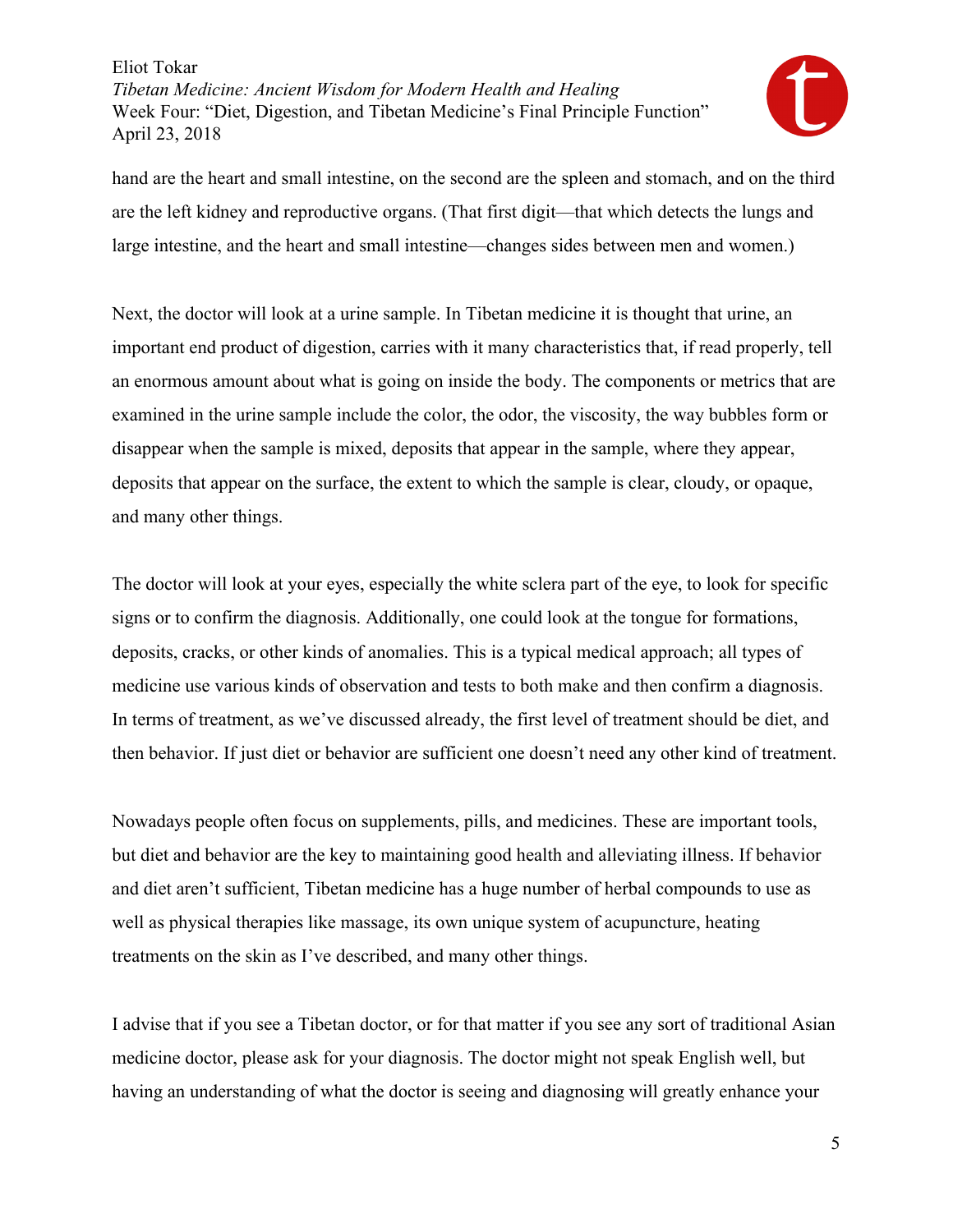

hand are the heart and small intestine, on the second are the spleen and stomach, and on the third are the left kidney and reproductive organs. (That first digit—that which detects the lungs and large intestine, and the heart and small intestine—changes sides between men and women.)

Next, the doctor will look at a urine sample. In Tibetan medicine it is thought that urine, an important end product of digestion, carries with it many characteristics that, if read properly, tell an enormous amount about what is going on inside the body. The components or metrics that are examined in the urine sample include the color, the odor, the viscosity, the way bubbles form or disappear when the sample is mixed, deposits that appear in the sample, where they appear, deposits that appear on the surface, the extent to which the sample is clear, cloudy, or opaque, and many other things.

The doctor will look at your eyes, especially the white sclera part of the eye, to look for specific signs or to confirm the diagnosis. Additionally, one could look at the tongue for formations, deposits, cracks, or other kinds of anomalies. This is a typical medical approach; all types of medicine use various kinds of observation and tests to both make and then confirm a diagnosis. In terms of treatment, as we've discussed already, the first level of treatment should be diet, and then behavior. If just diet or behavior are sufficient one doesn't need any other kind of treatment.

Nowadays people often focus on supplements, pills, and medicines. These are important tools, but diet and behavior are the key to maintaining good health and alleviating illness. If behavior and diet aren't sufficient, Tibetan medicine has a huge number of herbal compounds to use as well as physical therapies like massage, its own unique system of acupuncture, heating treatments on the skin as I've described, and many other things.

I advise that if you see a Tibetan doctor, or for that matter if you see any sort of traditional Asian medicine doctor, please ask for your diagnosis. The doctor might not speak English well, but having an understanding of what the doctor is seeing and diagnosing will greatly enhance your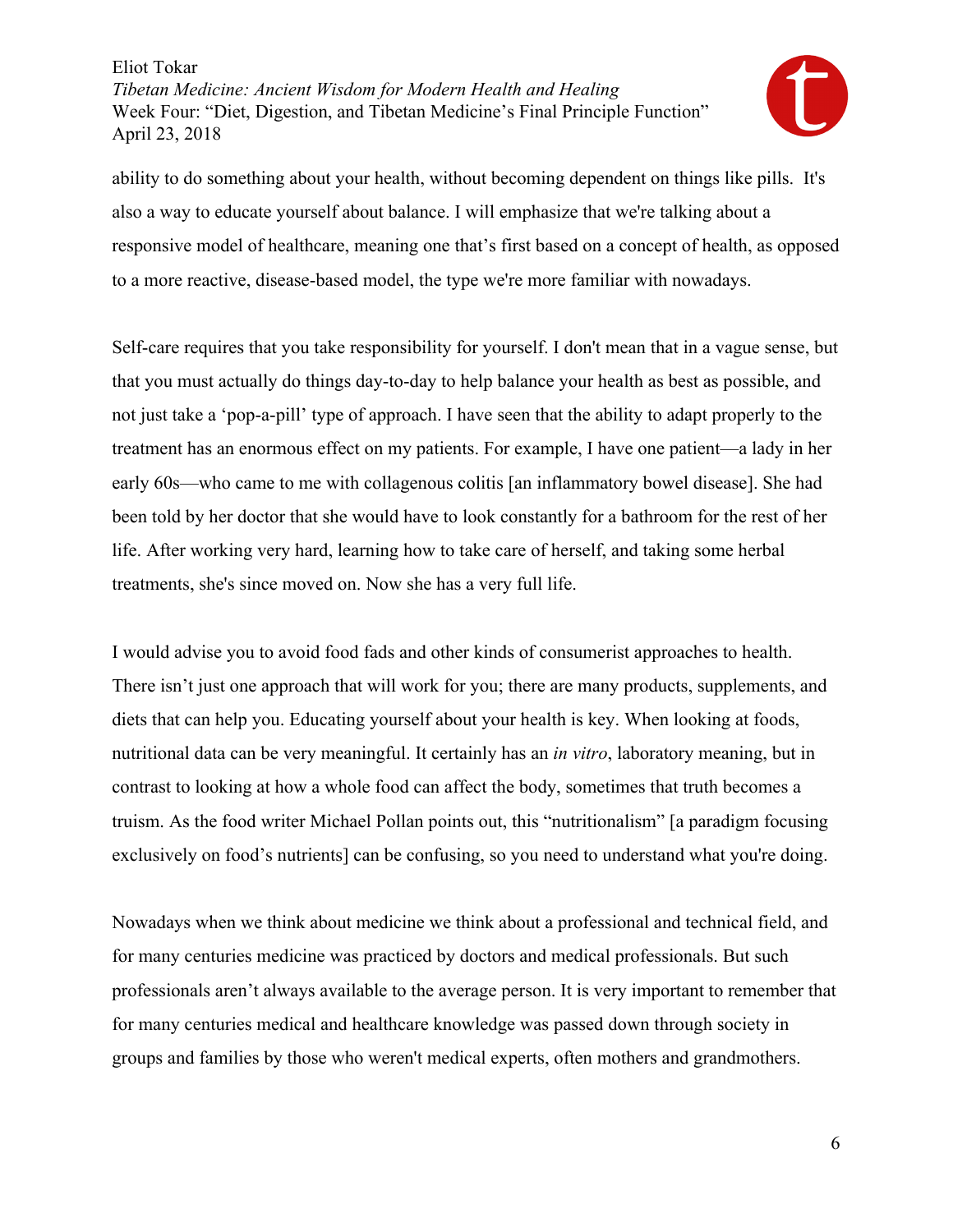

ability to do something about your health, without becoming dependent on things like pills. It's also a way to educate yourself about balance. I will emphasize that we're talking about a responsive model of healthcare, meaning one that's first based on a concept of health, as opposed to a more reactive, disease-based model, the type we're more familiar with nowadays.

Self-care requires that you take responsibility for yourself. I don't mean that in a vague sense, but that you must actually do things day-to-day to help balance your health as best as possible, and not just take a 'pop-a-pill' type of approach. I have seen that the ability to adapt properly to the treatment has an enormous effect on my patients. For example, I have one patient—a lady in her early 60s—who came to me with collagenous colitis [an inflammatory bowel disease]. She had been told by her doctor that she would have to look constantly for a bathroom for the rest of her life. After working very hard, learning how to take care of herself, and taking some herbal treatments, she's since moved on. Now she has a very full life.

I would advise you to avoid food fads and other kinds of consumerist approaches to health. There isn't just one approach that will work for you; there are many products, supplements, and diets that can help you. Educating yourself about your health is key. When looking at foods, nutritional data can be very meaningful. It certainly has an *in vitro*, laboratory meaning, but in contrast to looking at how a whole food can affect the body, sometimes that truth becomes a truism. As the food writer Michael Pollan points out, this "nutritionalism" [a paradigm focusing exclusively on food's nutrients] can be confusing, so you need to understand what you're doing.

Nowadays when we think about medicine we think about a professional and technical field, and for many centuries medicine was practiced by doctors and medical professionals. But such professionals aren't always available to the average person. It is very important to remember that for many centuries medical and healthcare knowledge was passed down through society in groups and families by those who weren't medical experts, often mothers and grandmothers.